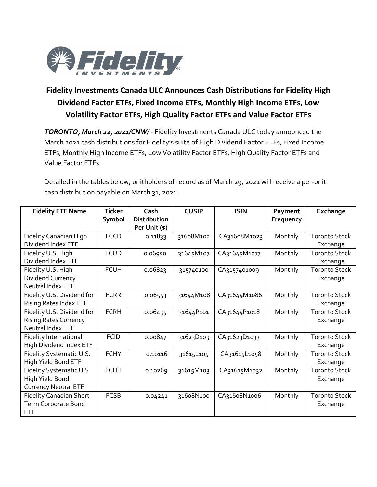

## **Fidelity Investments Canada ULC Announces Cash Distributions for Fidelity High Dividend Factor ETFs, Fixed Income ETFs, Monthly High Income ETFs, Low Volatility Factor ETFs, High Quality Factor ETFs and Value Factor ETFs**

*TORONTO, March 22, 2021/CNW/* - Fidelity Investments Canada ULC today announced the March 2021 cash distributions for Fidelity's suite of High Dividend Factor ETFs, Fixed Income ETFs, Monthly High Income ETFs, Low Volatility Factor ETFs, High Quality Factor ETFs and Value Factor ETFs.

Detailed in the tables below, unitholders of record as of March 29, 2021 will receive a per-unit cash distribution payable on March 31, 2021.

| <b>Fidelity ETF Name</b>       | <b>Ticker</b> | Cash                | <b>CUSIP</b> | <b>ISIN</b>  | Payment   | Exchange             |
|--------------------------------|---------------|---------------------|--------------|--------------|-----------|----------------------|
|                                | Symbol        | <b>Distribution</b> |              |              | Frequency |                      |
|                                |               | Per Unit (\$)       |              |              |           |                      |
| Fidelity Canadian High         | <b>FCCD</b>   | 0.11833             | 31608M102    | CA31608M1023 | Monthly   | <b>Toronto Stock</b> |
| Dividend Index ETF             |               |                     |              |              |           | Exchange             |
| Fidelity U.S. High             | <b>FCUD</b>   | 0.06950             | 31645M107    | CA31645M1077 | Monthly   | <b>Toronto Stock</b> |
| Dividend Index ETF             |               |                     |              |              |           | Exchange             |
| Fidelity U.S. High             | <b>FCUH</b>   | 0.06823             | 315740100    | CA3157401009 | Monthly   | <b>Toronto Stock</b> |
| Dividend Currency              |               |                     |              |              |           | Exchange             |
| Neutral Index ETF              |               |                     |              |              |           |                      |
| Fidelity U.S. Dividend for     | <b>FCRR</b>   | 0.06553             | 31644M108    | CA31644M1086 | Monthly   | <b>Toronto Stock</b> |
| <b>Rising Rates Index ETF</b>  |               |                     |              |              |           | Exchange             |
| Fidelity U.S. Dividend for     | <b>FCRH</b>   | 0.06435             | 31644P101    | CA31644P1018 | Monthly   | <b>Toronto Stock</b> |
| <b>Rising Rates Currency</b>   |               |                     |              |              |           | Exchange             |
| Neutral Index ETF              |               |                     |              |              |           |                      |
| Fidelity International         | <b>FCID</b>   | 0.00847             | 31623D103    | CA31623D1033 | Monthly   | <b>Toronto Stock</b> |
| High Dividend Index ETF        |               |                     |              |              |           | Exchange             |
| Fidelity Systematic U.S.       | <b>FCHY</b>   | 0.10116             | 31615L105    | CA31615L1058 | Monthly   | <b>Toronto Stock</b> |
| High Yield Bond ETF            |               |                     |              |              |           | Exchange             |
| Fidelity Systematic U.S.       | <b>FCHH</b>   | 0.10269             | 31615M103    | CA31615M1032 | Monthly   | <b>Toronto Stock</b> |
| High Yield Bond                |               |                     |              |              |           | Exchange             |
| <b>Currency Neutral ETF</b>    |               |                     |              |              |           |                      |
| <b>Fidelity Canadian Short</b> | <b>FCSB</b>   | 0.04241             | 31608N100    | CA31608N1006 | Monthly   | <b>Toronto Stock</b> |
| Term Corporate Bond            |               |                     |              |              |           | Exchange             |
| <b>ETF</b>                     |               |                     |              |              |           |                      |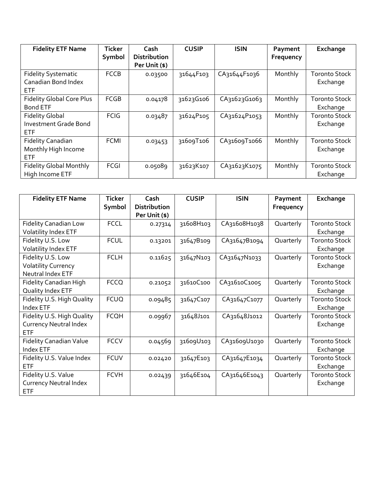| <b>Fidelity ETF Name</b>          | <b>Ticker</b><br>Symbol | Cash<br><b>Distribution</b> | <b>CUSIP</b> | <b>ISIN</b>  | Payment<br>Frequency | Exchange             |
|-----------------------------------|-------------------------|-----------------------------|--------------|--------------|----------------------|----------------------|
|                                   |                         | Per Unit (\$)               |              |              |                      |                      |
| <b>Fidelity Systematic</b>        | <b>FCCB</b>             | 0.03500                     | 31644F103    | CA31644F1036 | Monthly              | <b>Toronto Stock</b> |
| Canadian Bond Index<br><b>ETF</b> |                         |                             |              |              |                      | Exchange             |
| <b>Fidelity Global Core Plus</b>  | <b>FCGB</b>             | 0.04178                     | 31623G106    | CA31623G1063 | Monthly              | <b>Toronto Stock</b> |
| <b>Bond ETF</b>                   |                         |                             |              |              |                      | Exchange             |
| <b>Fidelity Global</b>            | <b>FCIG</b>             | 0.03487                     | 31624P105    | CA31624P1053 | Monthly              | <b>Toronto Stock</b> |
| <b>Investment Grade Bond</b>      |                         |                             |              |              |                      | Exchange             |
| <b>ETF</b>                        |                         |                             |              |              |                      |                      |
| <b>Fidelity Canadian</b>          | <b>FCMI</b>             | 0.03453                     | 31609T106    | CA31609T1066 | Monthly              | <b>Toronto Stock</b> |
| Monthly High Income               |                         |                             |              |              |                      | Exchange             |
| <b>ETF</b>                        |                         |                             |              |              |                      |                      |
| <b>Fidelity Global Monthly</b>    | FCGI                    | 0.05089                     | 31623K107    | CA31623K1075 | Monthly              | <b>Toronto Stock</b> |
| High Income ETF                   |                         |                             |              |              |                      | Exchange             |

| <b>Fidelity ETF Name</b>       | <b>Ticker</b> | Cash                | <b>CUSIP</b> | <b>ISIN</b>  | Payment   | Exchange             |
|--------------------------------|---------------|---------------------|--------------|--------------|-----------|----------------------|
|                                | Symbol        | <b>Distribution</b> |              |              | Frequency |                      |
|                                |               | Per Unit (\$)       |              |              |           |                      |
| <b>Fidelity Canadian Low</b>   | <b>FCCL</b>   | 0.27314             | 31608H103    | CA31608H1038 | Quarterly | <b>Toronto Stock</b> |
| <b>Volatility Index ETF</b>    |               |                     |              |              |           | Exchange             |
| Fidelity U.S. Low              | <b>FCUL</b>   | 0.13201             | 31647B109    | CA31647B1094 | Quarterly | <b>Toronto Stock</b> |
| Volatility Index ETF           |               |                     |              |              |           | Exchange             |
| Fidelity U.S. Low              | <b>FCLH</b>   | 0.11625             | 31647N103    | CA31647N1033 | Quarterly | <b>Toronto Stock</b> |
| <b>Volatility Currency</b>     |               |                     |              |              |           | Exchange             |
| Neutral Index ETF              |               |                     |              |              |           |                      |
| Fidelity Canadian High         | <b>FCCQ</b>   | 0.21052             | 31610C100    | CA31610C1005 | Quarterly | <b>Toronto Stock</b> |
| Quality Index ETF              |               |                     |              |              |           | Exchange             |
| Fidelity U.S. High Quality     | <b>FCUQ</b>   | 0.09485             | 31647C107    | CA31647C1077 | Quarterly | <b>Toronto Stock</b> |
| Index ETF                      |               |                     |              |              |           | Exchange             |
| Fidelity U.S. High Quality     | <b>FCQH</b>   | 0.09967             | 31648J101    | CA31648J1012 | Quarterly | <b>Toronto Stock</b> |
| <b>Currency Neutral Index</b>  |               |                     |              |              |           | Exchange             |
| ETF                            |               |                     |              |              |           |                      |
| <b>Fidelity Canadian Value</b> | <b>FCCV</b>   | 0.04569             | 31609U103    | CA31609U1030 | Quarterly | <b>Toronto Stock</b> |
| Index ETF                      |               |                     |              |              |           | Exchange             |
| Fidelity U.S. Value Index      | <b>FCUV</b>   | 0.02420             | 31647E103    | CA31647E1034 | Quarterly | <b>Toronto Stock</b> |
| <b>ETF</b>                     |               |                     |              |              |           | Exchange             |
| Fidelity U.S. Value            | <b>FCVH</b>   | 0.02439             | 31646E104    | CA31646E1043 | Quarterly | <b>Toronto Stock</b> |
| <b>Currency Neutral Index</b>  |               |                     |              |              |           | Exchange             |
| <b>ETF</b>                     |               |                     |              |              |           |                      |